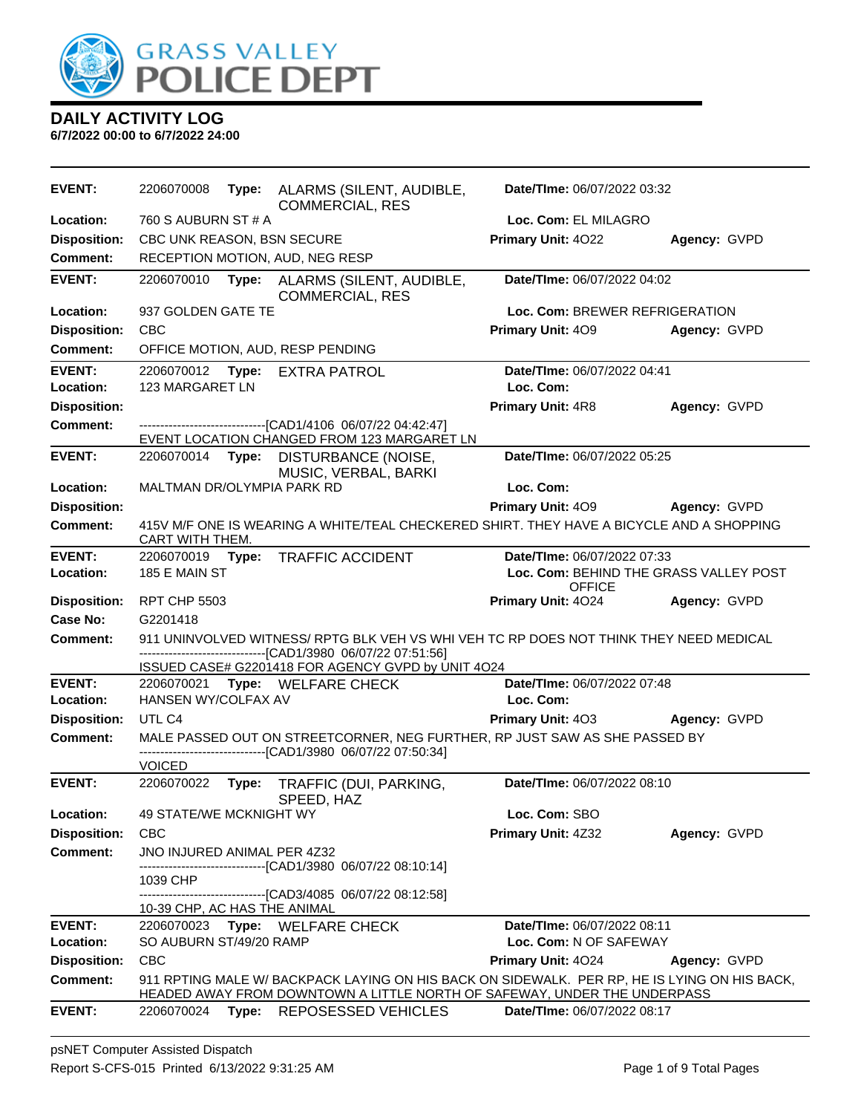

| <b>EVENT:</b>                          | 2206070008                   | Type: | ALARMS (SILENT, AUDIBLE,<br><b>COMMERCIAL, RES</b>                                                                                                                       | Date/TIme: 06/07/2022 03:32                             |              |
|----------------------------------------|------------------------------|-------|--------------------------------------------------------------------------------------------------------------------------------------------------------------------------|---------------------------------------------------------|--------------|
| Location:                              | 760 S AUBURN ST # A          |       |                                                                                                                                                                          | Loc. Com: EL MILAGRO                                    |              |
| <b>Disposition:</b>                    | CBC UNK REASON, BSN SECURE   |       |                                                                                                                                                                          | Primary Unit: 4022                                      | Agency: GVPD |
| <b>Comment:</b>                        |                              |       | RECEPTION MOTION, AUD, NEG RESP                                                                                                                                          |                                                         |              |
| <b>EVENT:</b>                          | 2206070010                   | Type: | ALARMS (SILENT, AUDIBLE,<br><b>COMMERCIAL, RES</b>                                                                                                                       | Date/TIme: 06/07/2022 04:02                             |              |
| Location:                              | 937 GOLDEN GATE TE           |       |                                                                                                                                                                          | Loc. Com: BREWER REFRIGERATION                          |              |
| <b>Disposition:</b>                    | <b>CBC</b>                   |       |                                                                                                                                                                          | Primary Unit: 409                                       | Agency: GVPD |
| <b>Comment:</b>                        |                              |       | OFFICE MOTION, AUD, RESP PENDING                                                                                                                                         |                                                         |              |
| <b>EVENT:</b>                          | 2206070012                   |       | Type: EXTRA PATROL                                                                                                                                                       | Date/TIme: 06/07/2022 04:41                             |              |
| Location:                              | 123 MARGARET LN              |       |                                                                                                                                                                          | Loc. Com:                                               |              |
| <b>Disposition:</b>                    |                              |       |                                                                                                                                                                          | <b>Primary Unit: 4R8</b>                                | Agency: GVPD |
| <b>Comment:</b>                        |                              |       | ------------------------------[CAD1/4106 06/07/22 04:42:47]                                                                                                              |                                                         |              |
| <b>EVENT:</b>                          |                              |       | EVENT LOCATION CHANGED FROM 123 MARGARET LN                                                                                                                              | Date/TIme: 06/07/2022 05:25                             |              |
|                                        | 2206070014 Type:             |       | DISTURBANCE (NOISE,<br>MUSIC, VERBAL, BARKI                                                                                                                              |                                                         |              |
| Location:                              | MALTMAN DR/OLYMPIA PARK RD   |       |                                                                                                                                                                          | Loc. Com:                                               |              |
| <b>Disposition:</b>                    |                              |       |                                                                                                                                                                          | Primary Unit: 409                                       | Agency: GVPD |
| Comment:                               | CART WITH THEM.              |       | 415V M/F ONE IS WEARING A WHITE/TEAL CHECKERED SHIRT. THEY HAVE A BICYCLE AND A SHOPPING                                                                                 |                                                         |              |
| <b>EVENT:</b>                          | 2206070019 Type:             |       | <b>TRAFFIC ACCIDENT</b>                                                                                                                                                  | Date/TIme: 06/07/2022 07:33                             |              |
| Location:                              | 185 E MAIN ST                |       |                                                                                                                                                                          | Loc. Com: BEHIND THE GRASS VALLEY POST<br><b>OFFICE</b> |              |
| <b>Disposition:</b>                    | <b>RPT CHP 5503</b>          |       |                                                                                                                                                                          | Primary Unit: 4024                                      | Agency: GVPD |
| Case No:                               | G2201418                     |       |                                                                                                                                                                          |                                                         |              |
| <b>Comment:</b>                        |                              |       | 911 UNINVOLVED WITNESS/ RPTG BLK VEH VS WHI VEH TC RP DOES NOT THINK THEY NEED MEDICAL<br>--------------------------------[CAD1/3980 06/07/22 07:51:56]                  |                                                         |              |
|                                        |                              |       | ISSUED CASE# G2201418 FOR AGENCY GVPD by UNIT 4O24                                                                                                                       |                                                         |              |
| <b>EVENT:</b>                          |                              |       | 2206070021 Type: WELFARE CHECK                                                                                                                                           | Date/TIme: 06/07/2022 07:48                             |              |
| Location:                              | HANSEN WY/COLFAX AV          |       |                                                                                                                                                                          | Loc. Com:                                               |              |
| <b>Disposition:</b>                    | UTL C4                       |       |                                                                                                                                                                          | <b>Primary Unit: 403</b>                                | Agency: GVPD |
| <b>Comment:</b>                        |                              |       | MALE PASSED OUT ON STREETCORNER, NEG FURTHER, RP JUST SAW AS SHE PASSED BY                                                                                               |                                                         |              |
|                                        | <b>VOICED</b>                |       | -------------------------------[CAD1/3980 06/07/22 07:50:34]                                                                                                             |                                                         |              |
| <b>EVENT:</b>                          | 2206070022                   | Type: | TRAFFIC (DUI, PARKING,                                                                                                                                                   | Date/TIme: 06/07/2022 08:10                             |              |
|                                        |                              |       | SPEED, HAZ                                                                                                                                                               |                                                         |              |
| Location:                              | 49 STATE/WE MCKNIGHT WY      |       |                                                                                                                                                                          | Loc. Com: SBO                                           |              |
| <b>Disposition:</b>                    | <b>CBC</b>                   |       |                                                                                                                                                                          | Primary Unit: 4Z32                                      | Agency: GVPD |
| <b>Comment:</b>                        | JNO INJURED ANIMAL PER 4Z32  |       | ------------------------[CAD1/3980 06/07/22 08:10:14]                                                                                                                    |                                                         |              |
|                                        | 1039 CHP                     |       |                                                                                                                                                                          |                                                         |              |
|                                        |                              |       | --------------------[CAD3/4085_06/07/22_08:12:58]                                                                                                                        |                                                         |              |
|                                        | 10-39 CHP, AC HAS THE ANIMAL |       |                                                                                                                                                                          |                                                         |              |
| <b>EVENT:</b><br>Location:             | 2206070023                   |       | Type: WELFARE CHECK                                                                                                                                                      | Date/TIme: 06/07/2022 08:11                             |              |
|                                        | SO AUBURN ST/49/20 RAMP      |       |                                                                                                                                                                          | Loc. Com: N OF SAFEWAY                                  |              |
| <b>Disposition:</b><br><b>Comment:</b> | <b>CBC</b>                   |       |                                                                                                                                                                          | Primary Unit: 4024                                      | Agency: GVPD |
|                                        |                              |       | 911 RPTING MALE W/ BACKPACK LAYING ON HIS BACK ON SIDEWALK. PER RP, HE IS LYING ON HIS BACK,<br>HEADED AWAY FROM DOWNTOWN A LITTLE NORTH OF SAFEWAY, UNDER THE UNDERPASS |                                                         |              |
| <b>EVENT:</b>                          | 2206070024                   | Type: | <b>REPOSESSED VEHICLES</b>                                                                                                                                               | Date/TIme: 06/07/2022 08:17                             |              |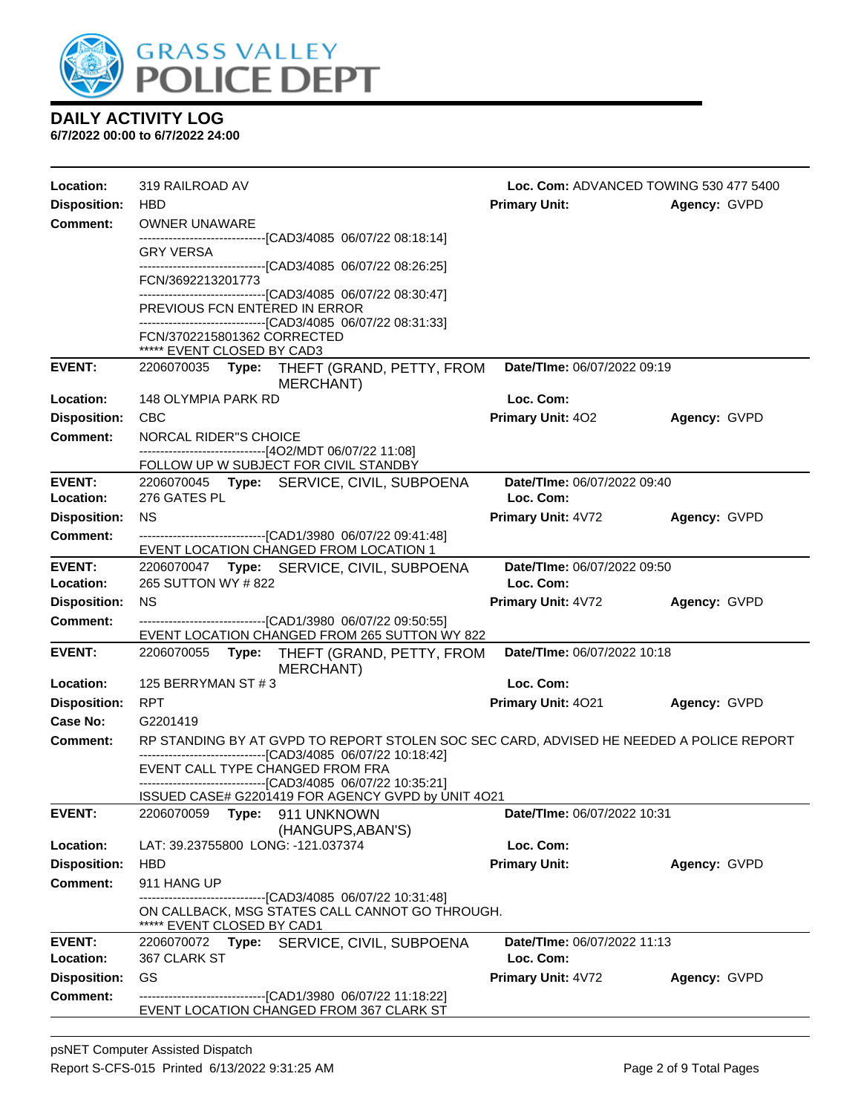

| <b>Disposition:</b><br><b>Primary Unit:</b><br><b>HBD</b><br>Agency: GVPD<br><b>Comment:</b><br>OWNER UNAWARE<br>-------------------------------[CAD3/4085 06/07/22 08:18:14]<br>GRY VERSA<br>-------------------------------[CAD3/4085 06/07/22 08:26:25]<br>FCN/3692213201773<br>------------------------------[CAD3/4085 06/07/22 08:30:47]<br>PREVIOUS FCN ENTERED IN ERROR<br>------------------------------[CAD3/4085 06/07/22 08:31:33]<br>FCN/3702215801362 CORRECTED<br>***** EVENT CLOSED BY CAD3<br><b>EVENT:</b><br>Date/TIme: 06/07/2022 09:19<br>2206070035 Type:<br>THEFT (GRAND, PETTY, FROM<br>MERCHANT)<br>Loc. Com:<br>148 OLYMPIA PARK RD<br><b>Disposition:</b><br><b>CBC</b><br><b>Primary Unit: 402</b><br>Agency: GVPD<br><b>Comment:</b><br>NORCAL RIDER"S CHOICE<br>--------------------------------[4O2/MDT 06/07/22 11:08]<br>FOLLOW UP W SUBJECT FOR CIVIL STANDBY<br><b>EVENT:</b><br>Date/TIme: 06/07/2022 09:40<br>2206070045 Type: SERVICE, CIVIL, SUBPOENA<br>276 GATES PL<br>Location:<br>Loc. Com:<br><b>Disposition:</b><br><b>NS</b><br>Primary Unit: 4V72<br>Agency: GVPD<br>Comment:<br>--------------------------------[CAD1/3980 06/07/22 09:41:48]<br>EVENT LOCATION CHANGED FROM LOCATION 1<br>Date/TIme: 06/07/2022 09:50<br><b>EVENT:</b><br>2206070047 Type: SERVICE, CIVIL, SUBPOENA<br>265 SUTTON WY #822<br>Loc. Com:<br>Location:<br><b>Disposition:</b><br><b>NS</b><br><b>Primary Unit: 4V72</b><br>Agency: GVPD<br><b>Comment:</b><br>-------------------------------[CAD1/3980 06/07/22 09:50:55]<br>EVENT LOCATION CHANGED FROM 265 SUTTON WY 822<br><b>EVENT:</b><br>Date/TIme: 06/07/2022 10:18<br>2206070055 Type: THEFT (GRAND, PETTY, FROM<br>MERCHANT)<br>Loc. Com:<br>Location:<br>125 BERRYMAN ST #3<br><b>Disposition:</b><br><b>RPT</b><br>Primary Unit: 4021<br>Agency: GVPD<br>Case No:<br>G2201419<br>RP STANDING BY AT GVPD TO REPORT STOLEN SOC SEC CARD, ADVISED HE NEEDED A POLICE REPORT<br><b>Comment:</b><br>-------------------------------[CAD3/4085 06/07/22 10:18:42]<br>EVENT CALL TYPE CHANGED FROM FRA<br>-------------------------------[CAD3/4085 06/07/22 10:35:21]<br>ISSUED CASE# G2201419 FOR AGENCY GVPD by UNIT 4O21<br>Date/TIme: 06/07/2022 10:31<br><b>EVENT:</b><br>2206070059<br>Type: 911 UNKNOWN<br>(HANGUPS, ABAN'S)<br>LAT: 39.23755800 LONG: -121.037374<br>Loc. Com:<br><b>HBD</b><br><b>Disposition:</b><br><b>Primary Unit:</b><br>Agency: GVPD<br><b>Comment:</b><br>911 HANG UP<br>-------------------[CAD3/4085_06/07/22 10:31:48]<br>ON CALLBACK, MSG STATES CALL CANNOT GO THROUGH.<br>***** EVENT CLOSED BY CAD1<br><b>EVENT:</b><br>2206070072 Type: SERVICE, CIVIL, SUBPOENA<br>Date/TIme: 06/07/2022 11:13<br>Loc. Com:<br>Location:<br>367 CLARK ST<br>GS<br><b>Disposition:</b><br>Primary Unit: 4V72<br>Agency: GVPD<br><b>Comment:</b><br>-------------------------------[CAD1/3980 06/07/22 11:18:22]<br>EVENT LOCATION CHANGED FROM 367 CLARK ST | Location: | 319 RAILROAD AV | Loc. Com: ADVANCED TOWING 530 477 5400 |  |
|-------------------------------------------------------------------------------------------------------------------------------------------------------------------------------------------------------------------------------------------------------------------------------------------------------------------------------------------------------------------------------------------------------------------------------------------------------------------------------------------------------------------------------------------------------------------------------------------------------------------------------------------------------------------------------------------------------------------------------------------------------------------------------------------------------------------------------------------------------------------------------------------------------------------------------------------------------------------------------------------------------------------------------------------------------------------------------------------------------------------------------------------------------------------------------------------------------------------------------------------------------------------------------------------------------------------------------------------------------------------------------------------------------------------------------------------------------------------------------------------------------------------------------------------------------------------------------------------------------------------------------------------------------------------------------------------------------------------------------------------------------------------------------------------------------------------------------------------------------------------------------------------------------------------------------------------------------------------------------------------------------------------------------------------------------------------------------------------------------------------------------------------------------------------------------------------------------------------------------------------------------------------------------------------------------------------------------------------------------------------------------------------------------------------------------------------------------------------------------------------------------------------------------------------------------------------------------------------------------------------------------------------------------------------------------------------------------------------------------------------------------------------------------------------------------------------------------------------------------------------------------------------------------------------------------------------------------------------------|-----------|-----------------|----------------------------------------|--|
|                                                                                                                                                                                                                                                                                                                                                                                                                                                                                                                                                                                                                                                                                                                                                                                                                                                                                                                                                                                                                                                                                                                                                                                                                                                                                                                                                                                                                                                                                                                                                                                                                                                                                                                                                                                                                                                                                                                                                                                                                                                                                                                                                                                                                                                                                                                                                                                                                                                                                                                                                                                                                                                                                                                                                                                                                                                                                                                                                                         |           |                 |                                        |  |
|                                                                                                                                                                                                                                                                                                                                                                                                                                                                                                                                                                                                                                                                                                                                                                                                                                                                                                                                                                                                                                                                                                                                                                                                                                                                                                                                                                                                                                                                                                                                                                                                                                                                                                                                                                                                                                                                                                                                                                                                                                                                                                                                                                                                                                                                                                                                                                                                                                                                                                                                                                                                                                                                                                                                                                                                                                                                                                                                                                         |           |                 |                                        |  |
|                                                                                                                                                                                                                                                                                                                                                                                                                                                                                                                                                                                                                                                                                                                                                                                                                                                                                                                                                                                                                                                                                                                                                                                                                                                                                                                                                                                                                                                                                                                                                                                                                                                                                                                                                                                                                                                                                                                                                                                                                                                                                                                                                                                                                                                                                                                                                                                                                                                                                                                                                                                                                                                                                                                                                                                                                                                                                                                                                                         |           |                 |                                        |  |
|                                                                                                                                                                                                                                                                                                                                                                                                                                                                                                                                                                                                                                                                                                                                                                                                                                                                                                                                                                                                                                                                                                                                                                                                                                                                                                                                                                                                                                                                                                                                                                                                                                                                                                                                                                                                                                                                                                                                                                                                                                                                                                                                                                                                                                                                                                                                                                                                                                                                                                                                                                                                                                                                                                                                                                                                                                                                                                                                                                         |           |                 |                                        |  |
|                                                                                                                                                                                                                                                                                                                                                                                                                                                                                                                                                                                                                                                                                                                                                                                                                                                                                                                                                                                                                                                                                                                                                                                                                                                                                                                                                                                                                                                                                                                                                                                                                                                                                                                                                                                                                                                                                                                                                                                                                                                                                                                                                                                                                                                                                                                                                                                                                                                                                                                                                                                                                                                                                                                                                                                                                                                                                                                                                                         |           |                 |                                        |  |
|                                                                                                                                                                                                                                                                                                                                                                                                                                                                                                                                                                                                                                                                                                                                                                                                                                                                                                                                                                                                                                                                                                                                                                                                                                                                                                                                                                                                                                                                                                                                                                                                                                                                                                                                                                                                                                                                                                                                                                                                                                                                                                                                                                                                                                                                                                                                                                                                                                                                                                                                                                                                                                                                                                                                                                                                                                                                                                                                                                         |           |                 |                                        |  |
|                                                                                                                                                                                                                                                                                                                                                                                                                                                                                                                                                                                                                                                                                                                                                                                                                                                                                                                                                                                                                                                                                                                                                                                                                                                                                                                                                                                                                                                                                                                                                                                                                                                                                                                                                                                                                                                                                                                                                                                                                                                                                                                                                                                                                                                                                                                                                                                                                                                                                                                                                                                                                                                                                                                                                                                                                                                                                                                                                                         |           |                 |                                        |  |
|                                                                                                                                                                                                                                                                                                                                                                                                                                                                                                                                                                                                                                                                                                                                                                                                                                                                                                                                                                                                                                                                                                                                                                                                                                                                                                                                                                                                                                                                                                                                                                                                                                                                                                                                                                                                                                                                                                                                                                                                                                                                                                                                                                                                                                                                                                                                                                                                                                                                                                                                                                                                                                                                                                                                                                                                                                                                                                                                                                         | Location: |                 |                                        |  |
|                                                                                                                                                                                                                                                                                                                                                                                                                                                                                                                                                                                                                                                                                                                                                                                                                                                                                                                                                                                                                                                                                                                                                                                                                                                                                                                                                                                                                                                                                                                                                                                                                                                                                                                                                                                                                                                                                                                                                                                                                                                                                                                                                                                                                                                                                                                                                                                                                                                                                                                                                                                                                                                                                                                                                                                                                                                                                                                                                                         |           |                 |                                        |  |
|                                                                                                                                                                                                                                                                                                                                                                                                                                                                                                                                                                                                                                                                                                                                                                                                                                                                                                                                                                                                                                                                                                                                                                                                                                                                                                                                                                                                                                                                                                                                                                                                                                                                                                                                                                                                                                                                                                                                                                                                                                                                                                                                                                                                                                                                                                                                                                                                                                                                                                                                                                                                                                                                                                                                                                                                                                                                                                                                                                         |           |                 |                                        |  |
|                                                                                                                                                                                                                                                                                                                                                                                                                                                                                                                                                                                                                                                                                                                                                                                                                                                                                                                                                                                                                                                                                                                                                                                                                                                                                                                                                                                                                                                                                                                                                                                                                                                                                                                                                                                                                                                                                                                                                                                                                                                                                                                                                                                                                                                                                                                                                                                                                                                                                                                                                                                                                                                                                                                                                                                                                                                                                                                                                                         |           |                 |                                        |  |
|                                                                                                                                                                                                                                                                                                                                                                                                                                                                                                                                                                                                                                                                                                                                                                                                                                                                                                                                                                                                                                                                                                                                                                                                                                                                                                                                                                                                                                                                                                                                                                                                                                                                                                                                                                                                                                                                                                                                                                                                                                                                                                                                                                                                                                                                                                                                                                                                                                                                                                                                                                                                                                                                                                                                                                                                                                                                                                                                                                         |           |                 |                                        |  |
|                                                                                                                                                                                                                                                                                                                                                                                                                                                                                                                                                                                                                                                                                                                                                                                                                                                                                                                                                                                                                                                                                                                                                                                                                                                                                                                                                                                                                                                                                                                                                                                                                                                                                                                                                                                                                                                                                                                                                                                                                                                                                                                                                                                                                                                                                                                                                                                                                                                                                                                                                                                                                                                                                                                                                                                                                                                                                                                                                                         |           |                 |                                        |  |
|                                                                                                                                                                                                                                                                                                                                                                                                                                                                                                                                                                                                                                                                                                                                                                                                                                                                                                                                                                                                                                                                                                                                                                                                                                                                                                                                                                                                                                                                                                                                                                                                                                                                                                                                                                                                                                                                                                                                                                                                                                                                                                                                                                                                                                                                                                                                                                                                                                                                                                                                                                                                                                                                                                                                                                                                                                                                                                                                                                         |           |                 |                                        |  |
|                                                                                                                                                                                                                                                                                                                                                                                                                                                                                                                                                                                                                                                                                                                                                                                                                                                                                                                                                                                                                                                                                                                                                                                                                                                                                                                                                                                                                                                                                                                                                                                                                                                                                                                                                                                                                                                                                                                                                                                                                                                                                                                                                                                                                                                                                                                                                                                                                                                                                                                                                                                                                                                                                                                                                                                                                                                                                                                                                                         |           |                 |                                        |  |
|                                                                                                                                                                                                                                                                                                                                                                                                                                                                                                                                                                                                                                                                                                                                                                                                                                                                                                                                                                                                                                                                                                                                                                                                                                                                                                                                                                                                                                                                                                                                                                                                                                                                                                                                                                                                                                                                                                                                                                                                                                                                                                                                                                                                                                                                                                                                                                                                                                                                                                                                                                                                                                                                                                                                                                                                                                                                                                                                                                         |           |                 |                                        |  |
|                                                                                                                                                                                                                                                                                                                                                                                                                                                                                                                                                                                                                                                                                                                                                                                                                                                                                                                                                                                                                                                                                                                                                                                                                                                                                                                                                                                                                                                                                                                                                                                                                                                                                                                                                                                                                                                                                                                                                                                                                                                                                                                                                                                                                                                                                                                                                                                                                                                                                                                                                                                                                                                                                                                                                                                                                                                                                                                                                                         |           |                 |                                        |  |
|                                                                                                                                                                                                                                                                                                                                                                                                                                                                                                                                                                                                                                                                                                                                                                                                                                                                                                                                                                                                                                                                                                                                                                                                                                                                                                                                                                                                                                                                                                                                                                                                                                                                                                                                                                                                                                                                                                                                                                                                                                                                                                                                                                                                                                                                                                                                                                                                                                                                                                                                                                                                                                                                                                                                                                                                                                                                                                                                                                         |           |                 |                                        |  |
|                                                                                                                                                                                                                                                                                                                                                                                                                                                                                                                                                                                                                                                                                                                                                                                                                                                                                                                                                                                                                                                                                                                                                                                                                                                                                                                                                                                                                                                                                                                                                                                                                                                                                                                                                                                                                                                                                                                                                                                                                                                                                                                                                                                                                                                                                                                                                                                                                                                                                                                                                                                                                                                                                                                                                                                                                                                                                                                                                                         |           |                 |                                        |  |
|                                                                                                                                                                                                                                                                                                                                                                                                                                                                                                                                                                                                                                                                                                                                                                                                                                                                                                                                                                                                                                                                                                                                                                                                                                                                                                                                                                                                                                                                                                                                                                                                                                                                                                                                                                                                                                                                                                                                                                                                                                                                                                                                                                                                                                                                                                                                                                                                                                                                                                                                                                                                                                                                                                                                                                                                                                                                                                                                                                         |           |                 |                                        |  |
|                                                                                                                                                                                                                                                                                                                                                                                                                                                                                                                                                                                                                                                                                                                                                                                                                                                                                                                                                                                                                                                                                                                                                                                                                                                                                                                                                                                                                                                                                                                                                                                                                                                                                                                                                                                                                                                                                                                                                                                                                                                                                                                                                                                                                                                                                                                                                                                                                                                                                                                                                                                                                                                                                                                                                                                                                                                                                                                                                                         |           |                 |                                        |  |
|                                                                                                                                                                                                                                                                                                                                                                                                                                                                                                                                                                                                                                                                                                                                                                                                                                                                                                                                                                                                                                                                                                                                                                                                                                                                                                                                                                                                                                                                                                                                                                                                                                                                                                                                                                                                                                                                                                                                                                                                                                                                                                                                                                                                                                                                                                                                                                                                                                                                                                                                                                                                                                                                                                                                                                                                                                                                                                                                                                         |           |                 |                                        |  |
|                                                                                                                                                                                                                                                                                                                                                                                                                                                                                                                                                                                                                                                                                                                                                                                                                                                                                                                                                                                                                                                                                                                                                                                                                                                                                                                                                                                                                                                                                                                                                                                                                                                                                                                                                                                                                                                                                                                                                                                                                                                                                                                                                                                                                                                                                                                                                                                                                                                                                                                                                                                                                                                                                                                                                                                                                                                                                                                                                                         |           |                 |                                        |  |
|                                                                                                                                                                                                                                                                                                                                                                                                                                                                                                                                                                                                                                                                                                                                                                                                                                                                                                                                                                                                                                                                                                                                                                                                                                                                                                                                                                                                                                                                                                                                                                                                                                                                                                                                                                                                                                                                                                                                                                                                                                                                                                                                                                                                                                                                                                                                                                                                                                                                                                                                                                                                                                                                                                                                                                                                                                                                                                                                                                         |           |                 |                                        |  |
|                                                                                                                                                                                                                                                                                                                                                                                                                                                                                                                                                                                                                                                                                                                                                                                                                                                                                                                                                                                                                                                                                                                                                                                                                                                                                                                                                                                                                                                                                                                                                                                                                                                                                                                                                                                                                                                                                                                                                                                                                                                                                                                                                                                                                                                                                                                                                                                                                                                                                                                                                                                                                                                                                                                                                                                                                                                                                                                                                                         |           |                 |                                        |  |
|                                                                                                                                                                                                                                                                                                                                                                                                                                                                                                                                                                                                                                                                                                                                                                                                                                                                                                                                                                                                                                                                                                                                                                                                                                                                                                                                                                                                                                                                                                                                                                                                                                                                                                                                                                                                                                                                                                                                                                                                                                                                                                                                                                                                                                                                                                                                                                                                                                                                                                                                                                                                                                                                                                                                                                                                                                                                                                                                                                         |           |                 |                                        |  |
|                                                                                                                                                                                                                                                                                                                                                                                                                                                                                                                                                                                                                                                                                                                                                                                                                                                                                                                                                                                                                                                                                                                                                                                                                                                                                                                                                                                                                                                                                                                                                                                                                                                                                                                                                                                                                                                                                                                                                                                                                                                                                                                                                                                                                                                                                                                                                                                                                                                                                                                                                                                                                                                                                                                                                                                                                                                                                                                                                                         |           |                 |                                        |  |
|                                                                                                                                                                                                                                                                                                                                                                                                                                                                                                                                                                                                                                                                                                                                                                                                                                                                                                                                                                                                                                                                                                                                                                                                                                                                                                                                                                                                                                                                                                                                                                                                                                                                                                                                                                                                                                                                                                                                                                                                                                                                                                                                                                                                                                                                                                                                                                                                                                                                                                                                                                                                                                                                                                                                                                                                                                                                                                                                                                         | Location: |                 |                                        |  |
|                                                                                                                                                                                                                                                                                                                                                                                                                                                                                                                                                                                                                                                                                                                                                                                                                                                                                                                                                                                                                                                                                                                                                                                                                                                                                                                                                                                                                                                                                                                                                                                                                                                                                                                                                                                                                                                                                                                                                                                                                                                                                                                                                                                                                                                                                                                                                                                                                                                                                                                                                                                                                                                                                                                                                                                                                                                                                                                                                                         |           |                 |                                        |  |
|                                                                                                                                                                                                                                                                                                                                                                                                                                                                                                                                                                                                                                                                                                                                                                                                                                                                                                                                                                                                                                                                                                                                                                                                                                                                                                                                                                                                                                                                                                                                                                                                                                                                                                                                                                                                                                                                                                                                                                                                                                                                                                                                                                                                                                                                                                                                                                                                                                                                                                                                                                                                                                                                                                                                                                                                                                                                                                                                                                         |           |                 |                                        |  |
|                                                                                                                                                                                                                                                                                                                                                                                                                                                                                                                                                                                                                                                                                                                                                                                                                                                                                                                                                                                                                                                                                                                                                                                                                                                                                                                                                                                                                                                                                                                                                                                                                                                                                                                                                                                                                                                                                                                                                                                                                                                                                                                                                                                                                                                                                                                                                                                                                                                                                                                                                                                                                                                                                                                                                                                                                                                                                                                                                                         |           |                 |                                        |  |
|                                                                                                                                                                                                                                                                                                                                                                                                                                                                                                                                                                                                                                                                                                                                                                                                                                                                                                                                                                                                                                                                                                                                                                                                                                                                                                                                                                                                                                                                                                                                                                                                                                                                                                                                                                                                                                                                                                                                                                                                                                                                                                                                                                                                                                                                                                                                                                                                                                                                                                                                                                                                                                                                                                                                                                                                                                                                                                                                                                         |           |                 |                                        |  |
|                                                                                                                                                                                                                                                                                                                                                                                                                                                                                                                                                                                                                                                                                                                                                                                                                                                                                                                                                                                                                                                                                                                                                                                                                                                                                                                                                                                                                                                                                                                                                                                                                                                                                                                                                                                                                                                                                                                                                                                                                                                                                                                                                                                                                                                                                                                                                                                                                                                                                                                                                                                                                                                                                                                                                                                                                                                                                                                                                                         |           |                 |                                        |  |
|                                                                                                                                                                                                                                                                                                                                                                                                                                                                                                                                                                                                                                                                                                                                                                                                                                                                                                                                                                                                                                                                                                                                                                                                                                                                                                                                                                                                                                                                                                                                                                                                                                                                                                                                                                                                                                                                                                                                                                                                                                                                                                                                                                                                                                                                                                                                                                                                                                                                                                                                                                                                                                                                                                                                                                                                                                                                                                                                                                         |           |                 |                                        |  |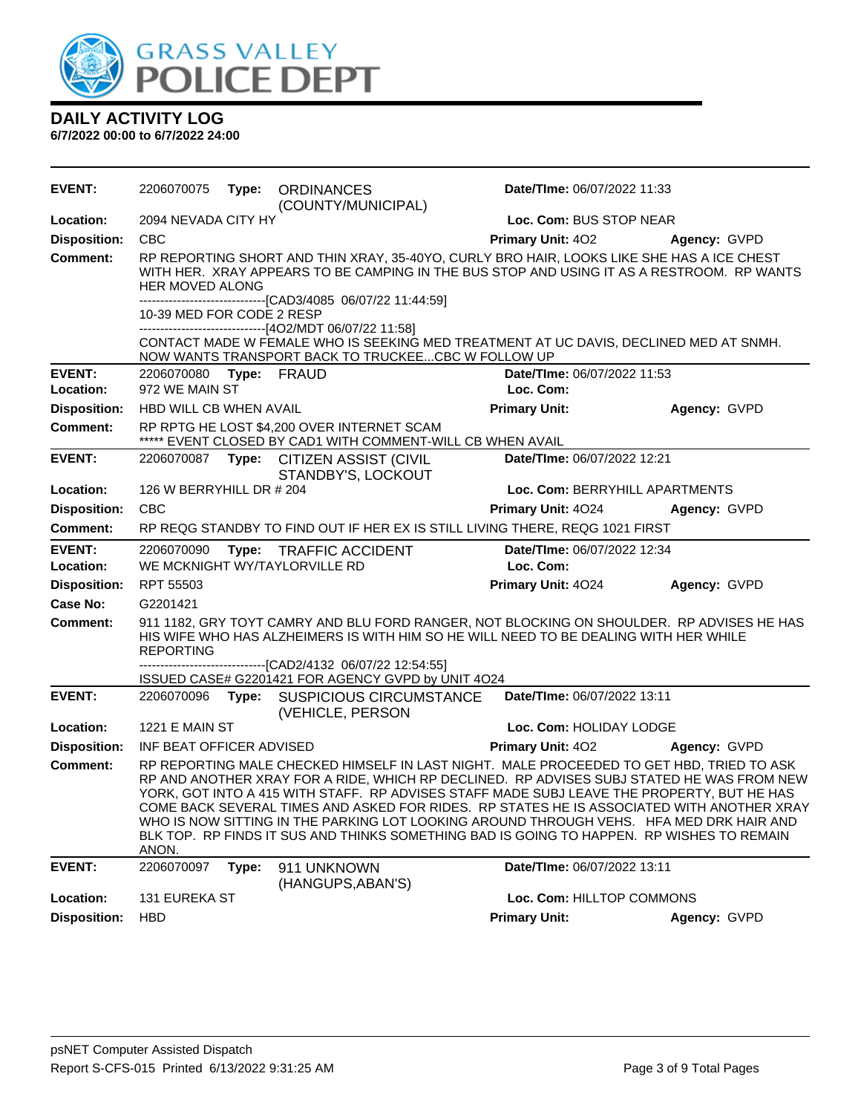

| <b>DAILY ACTIVITY LOG</b>        |  |  |  |
|----------------------------------|--|--|--|
| 6/7/2022 00:00 to 6/7/2022 24:00 |  |  |  |

**EVENT:** 2206070075 **Type:** ORDINANCES (COUNTY/MUNICIPAL) **Date/TIme:** 06/07/2022 11:33 **Location:** 2094 NEVADA CITY HY **Loc. Com:** BUS STOP NEAR **Disposition:** CBC **Primary Unit:** 4O2 **Agency:** GVPD **Comment:** RP REPORTING SHORT AND THIN XRAY, 35-40YO, CURLY BRO HAIR, LOOKS LIKE SHE HAS A ICE CHEST WITH HER. XRAY APPEARS TO BE CAMPING IN THE BUS STOP AND USING IT AS A RESTROOM. RP WANTS HER MOVED ALONG ---[CAD3/4085 06/07/22 11:44:59] 10-39 MED FOR CODE 2 RESP ------------------------------[4O2/MDT 06/07/22 11:58] CONTACT MADE W FEMALE WHO IS SEEKING MED TREATMENT AT UC DAVIS, DECLINED MED AT SNMH. NOW WANTS TRANSPORT BACK TO TRUCKEE...CBC W FOLLOW UP **EVENT:** 2206070080 **Type:** FRAUD **Date/TIme:** 06/07/2022 11:53 **Location:** 972 WE MAIN ST **Loc. Com: Disposition:** HBD WILL CB WHEN AVAIL **Primary Unit: Agency:** GVPD **Comment:** RP RPTG HE LOST \$4,200 OVER INTERNET SCAM \*\*\*\*\* EVENT CLOSED BY CAD1 WITH COMMENT-WILL CB WHEN AVAIL **EVENT:** 2206070087 **Type:** CITIZEN ASSIST (CIVIL STANDBY'S, LOCKOUT **Date/TIme:** 06/07/2022 12:21 **Location:** 126 W BERRYHILL DR # 204 **Loc. Com:** BERRYHILL APARTMENTS **Disposition:** CBC **Primary Unit:** 4O24 **Agency:** GVPD **Comment:** RP REQG STANDBY TO FIND OUT IF HER EX IS STILL LIVING THERE, REQG 1021 FIRST **EVENT:** 2206070090 **Type:** TRAFFIC ACCIDENT **Date/TIme:** 06/07/2022 12:34 **Location:** WE MCKNIGHT WY/TAYLORVILLE RD **Loc. Com: Disposition:** RPT 55503 **Primary Unit:** 4O24 **Agency:** GVPD **Case No:** G2201421 **Comment:** 911 1182, GRY TOYT CAMRY AND BLU FORD RANGER, NOT BLOCKING ON SHOULDER. RP ADVISES HE HAS HIS WIFE WHO HAS ALZHEIMERS IS WITH HIM SO HE WILL NEED TO BE DEALING WITH HER WHILE REPORTING -[CAD2/4132 06/07/22 12:54:55] ISSUED CASE# G2201421 FOR AGENCY GVPD by UNIT 4O24 **EVENT:** 2206070096 **Type:** SUSPICIOUS CIRCUMSTANCE (VEHICLE, PERSON **Date/TIme:** 06/07/2022 13:11 **Location:** 1221 E MAIN ST **Loc. Com:** HOLIDAY LODGE **Disposition:** INF BEAT OFFICER ADVISED **Primary Unit:** 4O2 **Agency:** GVPD **Comment:** RP REPORTING MALE CHECKED HIMSELF IN LAST NIGHT. MALE PROCEEDED TO GET HBD, TRIED TO ASK RP AND ANOTHER XRAY FOR A RIDE, WHICH RP DECLINED. RP ADVISES SUBJ STATED HE WAS FROM NEW YORK, GOT INTO A 415 WITH STAFF. RP ADVISES STAFF MADE SUBJ LEAVE THE PROPERTY, BUT HE HAS COME BACK SEVERAL TIMES AND ASKED FOR RIDES. RP STATES HE IS ASSOCIATED WITH ANOTHER XRAY WHO IS NOW SITTING IN THE PARKING LOT LOOKING AROUND THROUGH VEHS. HFA MED DRK HAIR AND BLK TOP. RP FINDS IT SUS AND THINKS SOMETHING BAD IS GOING TO HAPPEN. RP WISHES TO REMAIN ANON. **EVENT:** 2206070097 **Type:** 911 UNKNOWN (HANGUPS,ABAN'S) **Date/TIme:** 06/07/2022 13:11 **Location:** 131 EUREKA ST **Loc. Com:** HILLTOP COMMONS **Disposition:** HBD **Primary Unit: Agency:** GVPD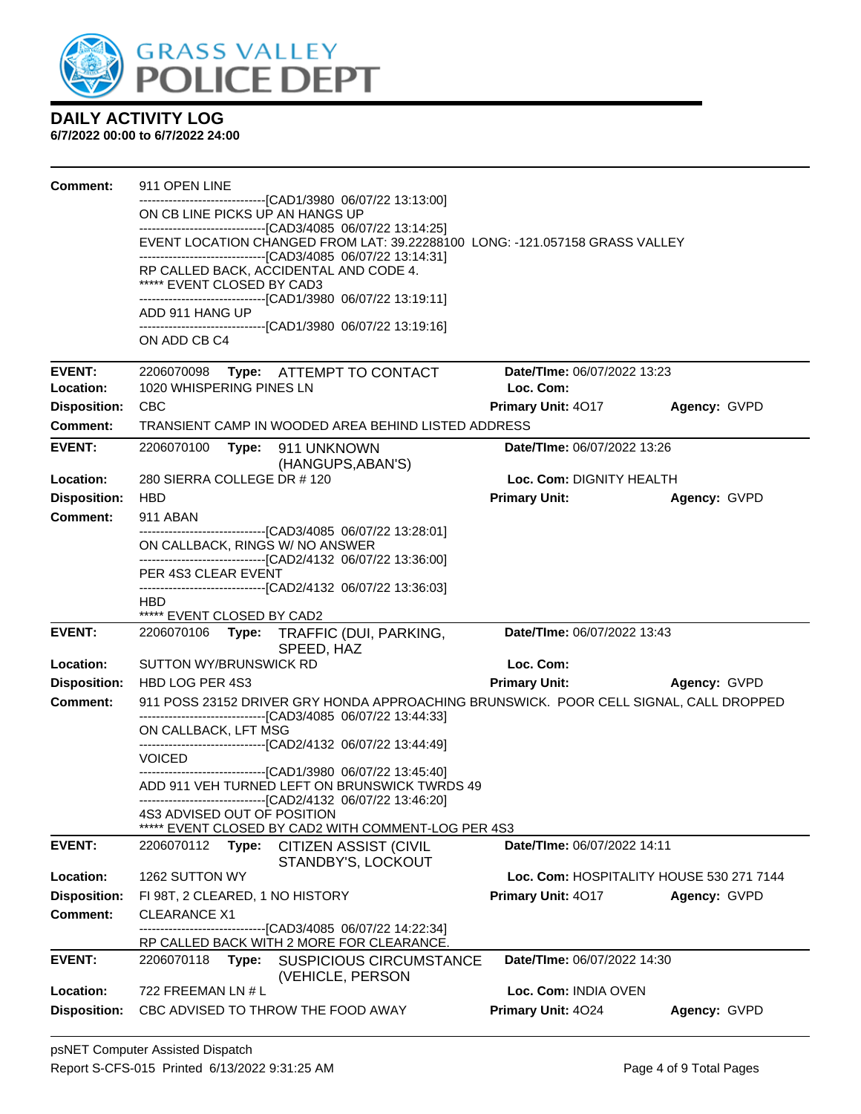

| Comment:                         | 911 OPEN LINE                                                                                                                               |                                            |              |
|----------------------------------|---------------------------------------------------------------------------------------------------------------------------------------------|--------------------------------------------|--------------|
|                                  | -------------------------------[CAD1/3980_06/07/22 13:13:00]<br>ON CB LINE PICKS UP AN HANGS UP                                             |                                            |              |
|                                  | ------------------------------[CAD3/4085 06/07/22 13:14:25]                                                                                 |                                            |              |
|                                  | EVENT LOCATION CHANGED FROM LAT: 39.22288100 LONG: -121.057158 GRASS VALLEY<br>-------------------------------[CAD3/4085 06/07/22 13:14:31] |                                            |              |
|                                  | RP CALLED BACK, ACCIDENTAL AND CODE 4.                                                                                                      |                                            |              |
|                                  | ***** EVENT CLOSED BY CAD3                                                                                                                  |                                            |              |
|                                  | -------------------------------[CAD1/3980 06/07/22 13:19:11]<br>ADD 911 HANG UP                                                             |                                            |              |
|                                  | ------------------------------[CAD1/3980 06/07/22 13:19:16]<br>ON ADD CB C4                                                                 |                                            |              |
|                                  |                                                                                                                                             |                                            |              |
| <b>EVENT:</b>                    | 2206070098 Type: ATTEMPT TO CONTACT                                                                                                         | Date/TIme: 06/07/2022 13:23                |              |
| Location:                        | 1020 WHISPERING PINES LN                                                                                                                    | Loc. Com:                                  |              |
| <b>Disposition:</b>              | <b>CBC</b>                                                                                                                                  | <b>Primary Unit: 4017</b>                  | Agency: GVPD |
| <b>Comment:</b>                  | TRANSIENT CAMP IN WOODED AREA BEHIND LISTED ADDRESS                                                                                         |                                            |              |
| <b>EVENT:</b>                    | 2206070100<br>Type: 911 UNKNOWN<br>(HANGUPS, ABAN'S)                                                                                        | Date/TIme: 06/07/2022 13:26                |              |
| Location:                        | 280 SIERRA COLLEGE DR # 120                                                                                                                 | Loc. Com: DIGNITY HEALTH                   |              |
| <b>Disposition:</b>              | <b>HBD</b>                                                                                                                                  | <b>Primary Unit:</b>                       | Agency: GVPD |
| <b>Comment:</b>                  | 911 ABAN                                                                                                                                    |                                            |              |
|                                  | ------------------------------[CAD3/4085 06/07/22 13:28:01]<br>ON CALLBACK, RINGS W/ NO ANSWER                                              |                                            |              |
|                                  | -------------------------------[CAD2/4132 06/07/22 13:36:00]                                                                                |                                            |              |
|                                  | PER 4S3 CLEAR EVENT<br>--------------------------------[CAD2/4132 06/07/22 13:36:03]                                                        |                                            |              |
|                                  | HBD.                                                                                                                                        |                                            |              |
|                                  | ***** EVENT CLOSED BY CAD2                                                                                                                  |                                            |              |
| <b>EVENT:</b>                    | 2206070106<br>Type: TRAFFIC (DUI, PARKING,<br>SPEED, HAZ                                                                                    | Date/TIme: 06/07/2022 13:43                |              |
| Location:                        | SUTTON WY/BRUNSWICK RD                                                                                                                      | Loc. Com:                                  |              |
| <b>Disposition:</b>              |                                                                                                                                             |                                            |              |
|                                  | HBD LOG PER 4S3                                                                                                                             | <b>Primary Unit:</b>                       | Agency: GVPD |
| <b>Comment:</b>                  | 911 POSS 23152 DRIVER GRY HONDA APPROACHING BRUNSWICK. POOR CELL SIGNAL, CALL DROPPED                                                       |                                            |              |
|                                  | -------------------------------[CAD3/4085 06/07/22 13:44:33]<br>ON CALLBACK, LFT MSG                                                        |                                            |              |
|                                  | ------------------------------[CAD2/4132 06/07/22 13:44:49]                                                                                 |                                            |              |
|                                  | <b>VOICED</b><br>-------------------------------[CAD1/3980 06/07/22 13:45:40]                                                               |                                            |              |
|                                  | ADD 911 VEH TURNED LEFT ON BRUNSWICK TWRDS 49                                                                                               |                                            |              |
|                                  | ------------------------------[CAD2/4132 06/07/22 13:46:20]<br>4S3 ADVISED OUT OF POSITION                                                  |                                            |              |
|                                  | EVENT CLOSED BY CAD2 WITH COMMENT-LOG PER 4S3                                                                                               |                                            |              |
| <b>EVENT:</b>                    | 2206070112<br>Type:<br><b>CITIZEN ASSIST (CIVIL</b>                                                                                         | Date/TIme: 06/07/2022 14:11                |              |
| Location:                        | STANDBY'S, LOCKOUT<br>1262 SUTTON WY                                                                                                        | Loc. Com: HOSPITALITY HOUSE 530 271 7144   |              |
| <b>Disposition:</b>              | FI 98T, 2 CLEARED, 1 NO HISTORY                                                                                                             | Primary Unit: 4017                         | Agency: GVPD |
| <b>Comment:</b>                  | <b>CLEARANCE X1</b>                                                                                                                         |                                            |              |
|                                  | -----------------------[CAD3/4085 06/07/22 14:22:34]                                                                                        |                                            |              |
| <b>EVENT:</b>                    | RP CALLED BACK WITH 2 MORE FOR CLEARANCE.<br>2206070118<br>Type:<br><b>SUSPICIOUS CIRCUMSTANCE</b>                                          | Date/TIme: 06/07/2022 14:30                |              |
|                                  | (VEHICLE, PERSON                                                                                                                            |                                            |              |
| Location:<br><b>Disposition:</b> | 722 FREEMAN LN # L<br>CBC ADVISED TO THROW THE FOOD AWAY                                                                                    | Loc. Com: INDIA OVEN<br>Primary Unit: 4024 | Agency: GVPD |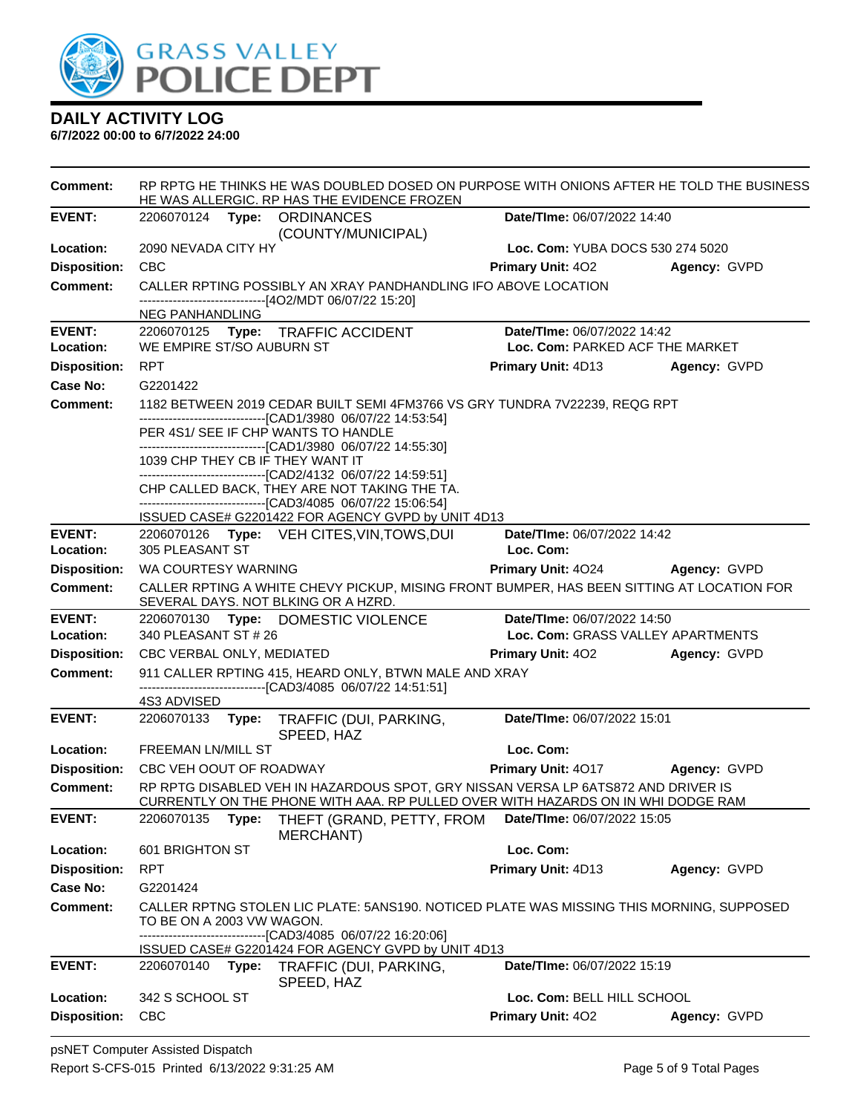

| <b>Comment:</b>                 | RP RPTG HE THINKS HE WAS DOUBLED DOSED ON PURPOSE WITH ONIONS AFTER HE TOLD THE BUSINESS<br>HE WAS ALLERGIC. RP HAS THE EVIDENCE FROZEN |                                          |                     |
|---------------------------------|-----------------------------------------------------------------------------------------------------------------------------------------|------------------------------------------|---------------------|
| <b>EVENT:</b>                   | 2206070124 Type: ORDINANCES<br>(COUNTY/MUNICIPAL)                                                                                       | Date/TIme: 06/07/2022 14:40              |                     |
| Location:                       | 2090 NEVADA CITY HY                                                                                                                     | Loc. Com: YUBA DOCS 530 274 5020         |                     |
| <b>Disposition:</b>             | <b>CBC</b>                                                                                                                              | <b>Primary Unit: 402</b>                 | Agency: GVPD        |
| <b>Comment:</b>                 | CALLER RPTING POSSIBLY AN XRAY PANDHANDLING IFO ABOVE LOCATION                                                                          |                                          |                     |
|                                 | ------------------------[4O2/MDT 06/07/22 15:20]                                                                                        |                                          |                     |
| <b>EVENT:</b>                   | <b>NEG PANHANDLING</b><br>2206070125 Type: TRAFFIC ACCIDENT                                                                             | Date/TIme: 06/07/2022 14:42              |                     |
| Location:                       | WE EMPIRE ST/SO AUBURN ST                                                                                                               | Loc. Com: PARKED ACF THE MARKET          |                     |
| <b>Disposition:</b>             | <b>RPT</b>                                                                                                                              | Primary Unit: 4D13                       | Agency: GVPD        |
| <b>Case No:</b>                 | G2201422                                                                                                                                |                                          |                     |
| Comment:                        | 1182 BETWEEN 2019 CEDAR BUILT SEMI 4FM3766 VS GRY TUNDRA 7V22239, REQG RPT                                                              |                                          |                     |
|                                 | -------------------------------[CAD1/3980 06/07/22 14:53:54]<br>PER 4S1/ SEE IF CHP WANTS TO HANDLE                                     |                                          |                     |
|                                 | --------------------------------[CAD1/3980 06/07/22 14:55:30]                                                                           |                                          |                     |
|                                 | 1039 CHP THEY CB IF THEY WANT IT                                                                                                        |                                          |                     |
|                                 | -------------------------------[CAD2/4132_06/07/22_14:59:51]<br>CHP CALLED BACK, THEY ARE NOT TAKING THE TA.                            |                                          |                     |
|                                 | -------------------------------[CAD3/4085 06/07/22 15:06:54]                                                                            |                                          |                     |
|                                 | ISSUED CASE# G2201422 FOR AGENCY GVPD by UNIT 4D13                                                                                      |                                          |                     |
| <b>EVENT:</b><br>Location:      | 2206070126 Type: VEH CITES, VIN, TOWS, DUI<br>305 PLEASANT ST                                                                           | Date/TIme: 06/07/2022 14:42<br>Loc. Com: |                     |
| <b>Disposition:</b>             | WA COURTESY WARNING                                                                                                                     | Primary Unit: 4024                       |                     |
| <b>Comment:</b>                 | CALLER RPTING A WHITE CHEVY PICKUP, MISING FRONT BUMPER, HAS BEEN SITTING AT LOCATION FOR                                               |                                          | <b>Agency: GVPD</b> |
|                                 | SEVERAL DAYS. NOT BLKING OR A HZRD.                                                                                                     |                                          |                     |
| <b>EVENT:</b>                   | 2206070130 Type: DOMESTIC VIOLENCE                                                                                                      | Date/TIme: 06/07/2022 14:50              |                     |
| Location:                       | 340 PLEASANT ST # 26                                                                                                                    | Loc. Com: GRASS VALLEY APARTMENTS        |                     |
| <b>Disposition:</b>             | CBC VERBAL ONLY, MEDIATED                                                                                                               | <b>Primary Unit: 402</b>                 | Agency: GVPD        |
| <b>Comment:</b>                 | 911 CALLER RPTING 415, HEARD ONLY, BTWN MALE AND XRAY<br>-------------------------------[CAD3/4085 06/07/22 14:51:51]                   |                                          |                     |
|                                 | 4S3 ADVISED                                                                                                                             |                                          |                     |
| <b>EVENT:</b>                   | 2206070133<br>Type: TRAFFIC (DUI, PARKING,                                                                                              | Date/TIme: 06/07/2022 15:01              |                     |
|                                 | SPEED, HAZ                                                                                                                              |                                          |                     |
| Location:                       | <b>FREEMAN LN/MILL ST</b><br>CBC VEH OOUT OF ROADWAY                                                                                    | Loc. Com:<br>Primary Unit: 4017          |                     |
| <b>Disposition:</b><br>Comment: | RP RPTG DISABLED VEH IN HAZARDOUS SPOT, GRY NISSAN VERSA LP 6ATS872 AND DRIVER IS                                                       |                                          | Agency: GVPD        |
|                                 | CURRENTLY ON THE PHONE WITH AAA. RP PULLED OVER WITH HAZARDS ON IN WHI DODGE RAM                                                        |                                          |                     |
| <b>EVENT:</b>                   | THEFT (GRAND, PETTY, FROM<br>2206070135<br>Type:                                                                                        | Date/TIme: 06/07/2022 15:05              |                     |
|                                 | <b>MERCHANT)</b>                                                                                                                        |                                          |                     |
| Location:                       | 601 BRIGHTON ST                                                                                                                         | Loc. Com:                                |                     |
| <b>Disposition:</b><br>Case No: | <b>RPT</b>                                                                                                                              | Primary Unit: 4D13                       | Agency: GVPD        |
| <b>Comment:</b>                 | G2201424<br>CALLER RPTNG STOLEN LIC PLATE: 5ANS190. NOTICED PLATE WAS MISSING THIS MORNING, SUPPOSED                                    |                                          |                     |
|                                 | TO BE ON A 2003 VW WAGON.                                                                                                               |                                          |                     |
|                                 | -------------------------------[CAD3/4085 06/07/22 16:20:06]                                                                            |                                          |                     |
|                                 | ISSUED CASE# G2201424 FOR AGENCY GVPD by UNIT 4D13                                                                                      |                                          |                     |
| <b>EVENT:</b>                   | 2206070140 Type:<br>TRAFFIC (DUI, PARKING,<br>SPEED, HAZ                                                                                | Date/TIme: 06/07/2022 15:19              |                     |
| Location:                       | 342 S SCHOOL ST                                                                                                                         | Loc. Com: BELL HILL SCHOOL               |                     |
| <b>Disposition:</b>             | <b>CBC</b>                                                                                                                              | Primary Unit: 402                        | Agency: GVPD        |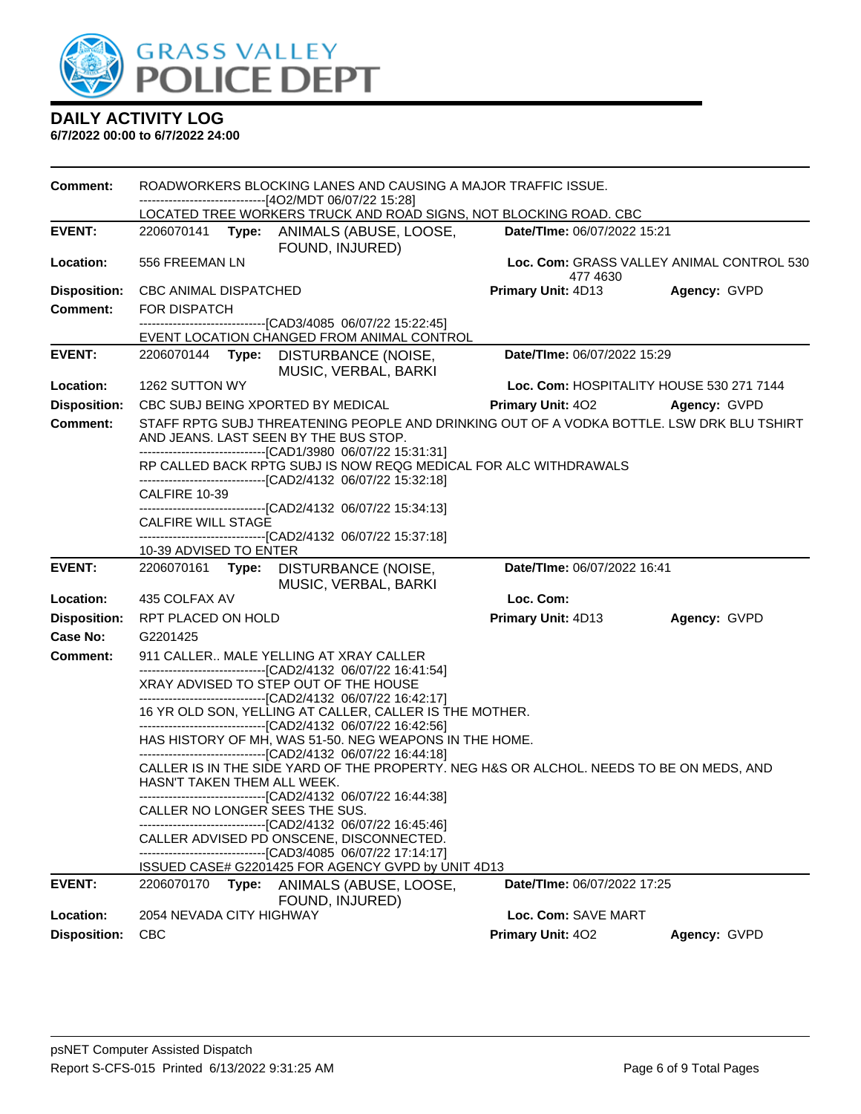

| <b>Comment:</b>     | ROADWORKERS BLOCKING LANES AND CAUSING A MAJOR TRAFFIC ISSUE.<br>-------------------------------[4O2/MDT 06/07/22 15:28] |       |                                                                                                                                    |                             |                                           |
|---------------------|--------------------------------------------------------------------------------------------------------------------------|-------|------------------------------------------------------------------------------------------------------------------------------------|-----------------------------|-------------------------------------------|
|                     |                                                                                                                          |       | LOCATED TREE WORKERS TRUCK AND ROAD SIGNS, NOT BLOCKING ROAD. CBC                                                                  |                             |                                           |
| <b>EVENT:</b>       |                                                                                                                          |       | 2206070141 Type: ANIMALS (ABUSE, LOOSE,<br>FOUND, INJURED)                                                                         | Date/TIme: 06/07/2022 15:21 |                                           |
| Location:           | 556 FREEMAN LN                                                                                                           |       |                                                                                                                                    | 477 4630                    | Loc. Com: GRASS VALLEY ANIMAL CONTROL 530 |
| <b>Disposition:</b> | CBC ANIMAL DISPATCHED                                                                                                    |       |                                                                                                                                    | <b>Primary Unit: 4D13</b>   | Agency: GVPD                              |
| <b>Comment:</b>     | <b>FOR DISPATCH</b>                                                                                                      |       |                                                                                                                                    |                             |                                           |
|                     |                                                                                                                          |       | -------------------------------[CAD3/4085 06/07/22 15:22:45]<br>EVENT LOCATION CHANGED FROM ANIMAL CONTROL                         |                             |                                           |
| <b>EVENT:</b>       |                                                                                                                          |       | 2206070144 Type: DISTURBANCE (NOISE,<br>MUSIC, VERBAL, BARKI                                                                       | Date/TIme: 06/07/2022 15:29 |                                           |
| Location:           | 1262 SUTTON WY                                                                                                           |       |                                                                                                                                    |                             | Loc. Com: HOSPITALITY HOUSE 530 271 7144  |
| <b>Disposition:</b> |                                                                                                                          |       | CBC SUBJ BEING XPORTED BY MEDICAL                                                                                                  | <b>Primary Unit: 402</b>    | Agency: GVPD                              |
| <b>Comment:</b>     |                                                                                                                          |       | STAFF RPTG SUBJ THREATENING PEOPLE AND DRINKING OUT OF A VODKA BOTTLE. LSW DRK BLU TSHIRT<br>AND JEANS. LAST SEEN BY THE BUS STOP. |                             |                                           |
|                     |                                                                                                                          |       | -------------------------------[CAD1/3980 06/07/22 15:31:31]                                                                       |                             |                                           |
|                     |                                                                                                                          |       | RP CALLED BACK RPTG SUBJ IS NOW REQG MEDICAL FOR ALC WITHDRAWALS<br>-------------------------------[CAD2/4132 06/07/22 15:32:18]   |                             |                                           |
|                     | CALFIRE 10-39                                                                                                            |       | -------------------------------[CAD2/4132 06/07/22 15:34:13]                                                                       |                             |                                           |
|                     | CALFIRE WILL STAGE                                                                                                       |       |                                                                                                                                    |                             |                                           |
|                     |                                                                                                                          |       | -------------------------------[CAD2/4132 06/07/22 15:37:18]                                                                       |                             |                                           |
|                     | 10-39 ADVISED TO ENTER                                                                                                   |       |                                                                                                                                    |                             |                                           |
| <b>EVENT:</b>       |                                                                                                                          |       | 2206070161 Type: DISTURBANCE (NOISE,<br>MUSIC, VERBAL, BARKI                                                                       | Date/TIme: 06/07/2022 16:41 |                                           |
| Location:           | 435 COLFAX AV                                                                                                            |       |                                                                                                                                    | Loc. Com:                   |                                           |
| <b>Disposition:</b> | RPT PLACED ON HOLD                                                                                                       |       |                                                                                                                                    | Primary Unit: 4D13          | Agency: GVPD                              |
| Case No:            | G2201425                                                                                                                 |       |                                                                                                                                    |                             |                                           |
| <b>Comment:</b>     |                                                                                                                          |       | 911 CALLER MALE YELLING AT XRAY CALLER<br>------------------------------[CAD2/4132_06/07/22 16:41:54]                              |                             |                                           |
|                     |                                                                                                                          |       | XRAY ADVISED TO STEP OUT OF THE HOUSE<br>-------------------------------[CAD2/4132 06/07/22 16:42:17]                              |                             |                                           |
|                     |                                                                                                                          |       | 16 YR OLD SON, YELLING AT CALLER, CALLER IS THE MOTHER.                                                                            |                             |                                           |
|                     |                                                                                                                          |       | -------------------------------[CAD2/4132 06/07/22 16:42:56]<br>HAS HISTORY OF MH, WAS 51-50. NEG WEAPONS IN THE HOME.             |                             |                                           |
|                     |                                                                                                                          |       | -------------------------------[CAD2/4132 06/07/22 16:44:18]                                                                       |                             |                                           |
|                     | HASN'T TAKEN THEM ALL WEEK.                                                                                              |       | CALLER IS IN THE SIDE YARD OF THE PROPERTY. NEG H&S OR ALCHOL. NEEDS TO BE ON MEDS, AND                                            |                             |                                           |
|                     |                                                                                                                          |       | -------------------------------[CAD2/4132 06/07/22 16:44:38]<br>CALLER NO LONGER SEES THE SUS.                                     |                             |                                           |
|                     |                                                                                                                          |       | -----------------[CAD2/4132 06/07/22 16:45:46]                                                                                     |                             |                                           |
|                     |                                                                                                                          |       | CALLER ADVISED PD ONSCENE, DISCONNECTED.                                                                                           |                             |                                           |
|                     |                                                                                                                          |       | -----------------[CAD3/4085_06/07/22 17:14:17]<br>ISSUED CASE# G2201425 FOR AGENCY GVPD by UNIT 4D13                               |                             |                                           |
| <b>EVENT:</b>       | 2206070170                                                                                                               | Type: | ANIMALS (ABUSE, LOOSE,                                                                                                             | Date/TIme: 06/07/2022 17:25 |                                           |
| Location:           |                                                                                                                          |       |                                                                                                                                    |                             |                                           |
|                     | 2054 NEVADA CITY HIGHWAY                                                                                                 |       | FOUND, INJURED)                                                                                                                    | Loc. Com: SAVE MART         |                                           |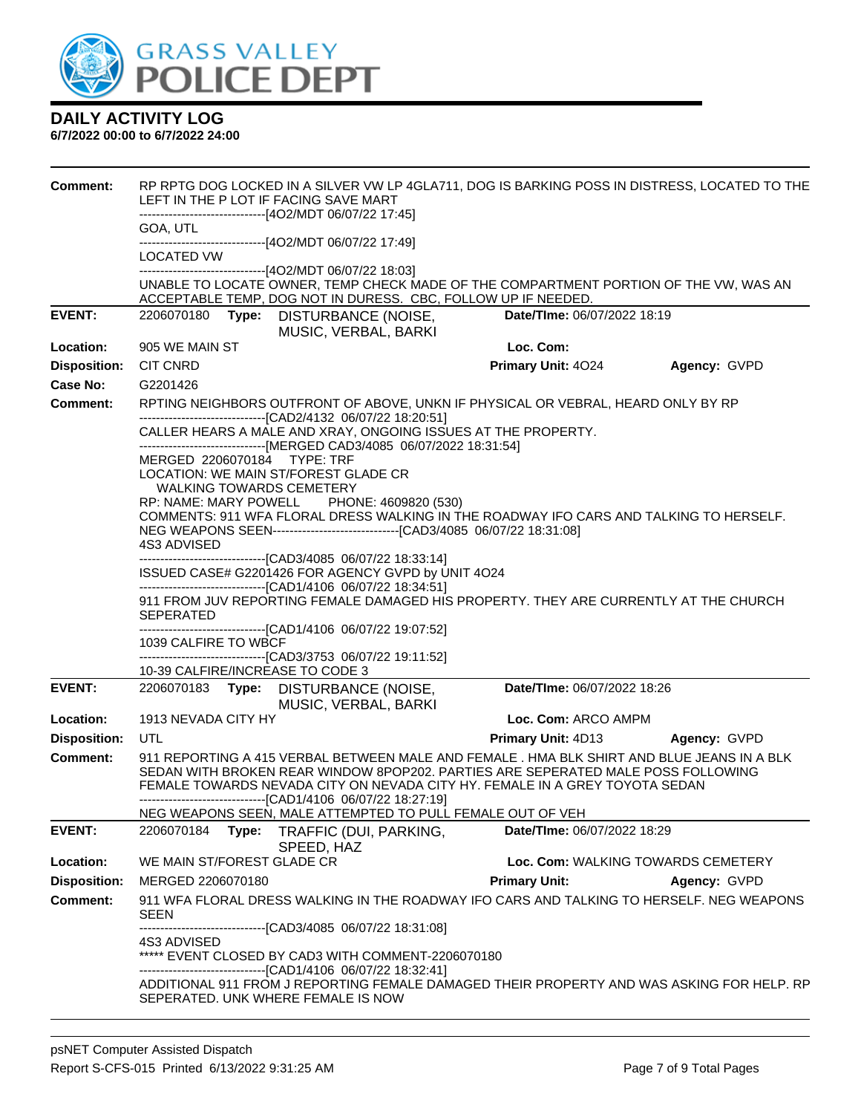

| <b>Comment:</b>                        | RP RPTG DOG LOCKED IN A SILVER VW LP 4GLA711, DOG IS BARKING POSS IN DISTRESS, LOCATED TO THE<br>LEFT IN THE P LOT IF FACING SAVE MART<br>--------------------------------[4O2/MDT 06/07/22 17:45]                                                            |                                    |              |
|----------------------------------------|---------------------------------------------------------------------------------------------------------------------------------------------------------------------------------------------------------------------------------------------------------------|------------------------------------|--------------|
|                                        | GOA, UTL                                                                                                                                                                                                                                                      |                                    |              |
|                                        | -------------------------------[4O2/MDT 06/07/22 17:49]<br>LOCATED VW                                                                                                                                                                                         |                                    |              |
|                                        | -------------------------------[4O2/MDT 06/07/22 18:03]                                                                                                                                                                                                       |                                    |              |
|                                        | UNABLE TO LOCATE OWNER, TEMP CHECK MADE OF THE COMPARTMENT PORTION OF THE VW, WAS AN<br>ACCEPTABLE TEMP, DOG NOT IN DURESS. CBC, FOLLOW UP IF NEEDED.                                                                                                         |                                    |              |
| <b>EVENT:</b>                          | 2206070180 Type: DISTURBANCE (NOISE,                                                                                                                                                                                                                          | Date/TIme: 06/07/2022 18:19        |              |
|                                        | MUSIC, VERBAL, BARKI                                                                                                                                                                                                                                          |                                    |              |
| Location:                              | 905 WE MAIN ST                                                                                                                                                                                                                                                | Loc. Com:                          |              |
| <b>Disposition:</b><br><b>Case No:</b> | <b>CIT CNRD</b>                                                                                                                                                                                                                                               | Primary Unit: 4024                 | Agency: GVPD |
| <b>Comment:</b>                        | G2201426<br>RPTING NEIGHBORS OUTFRONT OF ABOVE, UNKN IF PHYSICAL OR VEBRAL, HEARD ONLY BY RP                                                                                                                                                                  |                                    |              |
|                                        | -------------------------------[CAD2/4132 06/07/22 18:20:51]                                                                                                                                                                                                  |                                    |              |
|                                        | CALLER HEARS A MALE AND XRAY, ONGOING ISSUES AT THE PROPERTY.<br>-------------------------------[MERGED CAD3/4085 06/07/2022 18:31:54]                                                                                                                        |                                    |              |
|                                        | MERGED 2206070184 TYPE: TRF<br>LOCATION: WE MAIN ST/FOREST GLADE CR                                                                                                                                                                                           |                                    |              |
|                                        | <b>WALKING TOWARDS CEMETERY</b>                                                                                                                                                                                                                               |                                    |              |
|                                        | RP: NAME: MARY POWELL PHONE: 4609820 (530)<br>COMMENTS: 911 WFA FLORAL DRESS WALKING IN THE ROADWAY IFO CARS AND TALKING TO HERSELF.                                                                                                                          |                                    |              |
|                                        |                                                                                                                                                                                                                                                               |                                    |              |
|                                        | 4S3 ADVISED<br>-------------------------------[CAD3/4085 06/07/22 18:33:14]                                                                                                                                                                                   |                                    |              |
|                                        | ISSUED CASE# G2201426 FOR AGENCY GVPD by UNIT 4O24                                                                                                                                                                                                            |                                    |              |
|                                        | -------------------------------[CAD1/4106 06/07/22 18:34:51]<br>911 FROM JUV REPORTING FEMALE DAMAGED HIS PROPERTY. THEY ARE CURRENTLY AT THE CHURCH<br><b>SEPERATED</b>                                                                                      |                                    |              |
|                                        | -------------------------------[CAD1/4106 06/07/22 19:07:52]                                                                                                                                                                                                  |                                    |              |
|                                        | 1039 CALFIRE TO WBCF<br>-------------------------------[CAD3/3753 06/07/22 19:11:52]                                                                                                                                                                          |                                    |              |
|                                        | 10-39 CALFIRE/INCREASE TO CODE 3                                                                                                                                                                                                                              |                                    |              |
| <b>EVENT:</b>                          | 2206070183 Type: DISTURBANCE (NOISE,<br>MUSIC, VERBAL, BARKI                                                                                                                                                                                                  | Date/TIme: 06/07/2022 18:26        |              |
| Location:                              | 1913 NEVADA CITY HY                                                                                                                                                                                                                                           | Loc. Com: ARCO AMPM                |              |
| <b>Disposition:</b>                    | UTL                                                                                                                                                                                                                                                           | Primary Unit: 4D13                 | Agency: GVPD |
| <b>Comment:</b>                        | 911 REPORTING A 415 VERBAL BETWEEN MALE AND FEMALE . HMA BLK SHIRT AND BLUE JEANS IN A BLK<br>SEDAN WITH BROKEN REAR WINDOW 8POP202. PARTIES ARE SEPERATED MALE POSS FOLLOWING<br>FEMALE TOWARDS NEVADA CITY ON NEVADA CITY HY. FEMALE IN A GREY TOYOTA SEDAN |                                    |              |
|                                        | ------------------------------[CAD1/4106 06/07/22 18:27:19]                                                                                                                                                                                                   |                                    |              |
| <b>EVENT:</b>                          | NEG WEAPONS SEEN, MALE ATTEMPTED TO PULL FEMALE OUT OF VEH<br>2206070184                                                                                                                                                                                      |                                    |              |
|                                        | Type: TRAFFIC (DUI, PARKING,<br>SPEED, HAZ                                                                                                                                                                                                                    | Date/TIme: 06/07/2022 18:29        |              |
| Location:                              | WE MAIN ST/FOREST GLADE CR                                                                                                                                                                                                                                    | Loc. Com: WALKING TOWARDS CEMETERY |              |
| <b>Disposition:</b>                    | MERGED 2206070180                                                                                                                                                                                                                                             | <b>Primary Unit:</b>               | Agency: GVPD |
| <b>Comment:</b>                        | 911 WFA FLORAL DRESS WALKING IN THE ROADWAY IFO CARS AND TALKING TO HERSELF. NEG WEAPONS<br><b>SEEN</b>                                                                                                                                                       |                                    |              |
|                                        | --------------------------------[CAD3/4085 06/07/22 18:31:08]<br>4S3 ADVISED                                                                                                                                                                                  |                                    |              |
|                                        | ***** EVENT CLOSED BY CAD3 WITH COMMENT-2206070180                                                                                                                                                                                                            |                                    |              |
|                                        | -------------------------------[CAD1/4106 06/07/22 18:32:41]                                                                                                                                                                                                  |                                    |              |
|                                        | ADDITIONAL 911 FROM J REPORTING FEMALE DAMAGED THEIR PROPERTY AND WAS ASKING FOR HELP. RP<br>SEPERATED. UNK WHERE FEMALE IS NOW                                                                                                                               |                                    |              |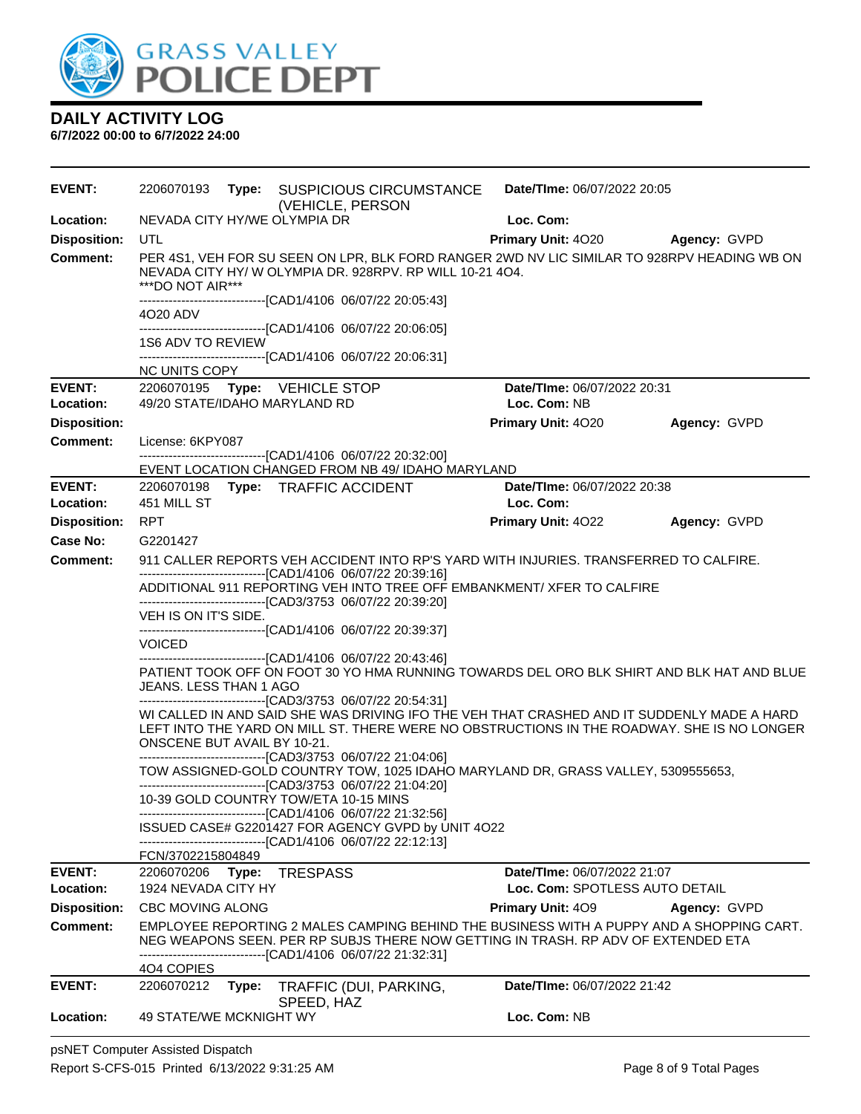

| <b>EVENT:</b>                   | 2206070193                                                                                                                             | Type: SUSPICIOUS CIRCUMSTANCE<br>(VEHICLE, PERSON                                                                                                           | Date/TIme: 06/07/2022 20:05    |              |  |
|---------------------------------|----------------------------------------------------------------------------------------------------------------------------------------|-------------------------------------------------------------------------------------------------------------------------------------------------------------|--------------------------------|--------------|--|
| Location:                       | NEVADA CITY HY/WE OLYMPIA DR                                                                                                           |                                                                                                                                                             | Loc. Com:                      |              |  |
| <b>Disposition:</b>             | <b>UTL</b>                                                                                                                             |                                                                                                                                                             | <b>Primary Unit: 4020</b>      | Agency: GVPD |  |
| <b>Comment:</b>                 | ***DO NOT AIR***                                                                                                                       | PER 4S1, VEH FOR SU SEEN ON LPR, BLK FORD RANGER 2WD NV LIC SIMILAR TO 928RPV HEADING WB ON<br>NEVADA CITY HY/ W OLYMPIA DR. 928RPV, RP WILL 10-21 4O4.     |                                |              |  |
|                                 | 4020 ADV                                                                                                                               | -------------------------------[CAD1/4106 06/07/22 20:05:43]                                                                                                |                                |              |  |
|                                 |                                                                                                                                        | ------------------------------[CAD1/4106_06/07/22 20:06:05]                                                                                                 |                                |              |  |
|                                 | 1S6 ADV TO REVIEW                                                                                                                      |                                                                                                                                                             |                                |              |  |
|                                 | NC UNITS COPY                                                                                                                          | ------------------------------[CAD1/4106 06/07/22 20:06:31]                                                                                                 |                                |              |  |
| <b>EVENT:</b>                   | 2206070195 Type: VEHICLE STOP                                                                                                          |                                                                                                                                                             | Date/TIme: 06/07/2022 20:31    |              |  |
| Location:                       | 49/20 STATE/IDAHO MARYLAND RD                                                                                                          |                                                                                                                                                             | Loc. Com: NB                   |              |  |
| <b>Disposition:</b>             |                                                                                                                                        |                                                                                                                                                             | Primary Unit: 4020             | Agency: GVPD |  |
| <b>Comment:</b>                 | License: 6KPY087                                                                                                                       |                                                                                                                                                             |                                |              |  |
|                                 |                                                                                                                                        | -------------------------------[CAD1/4106 06/07/22 20:32:00]<br>EVENT LOCATION CHANGED FROM NB 49/ IDAHO MARYLAND                                           |                                |              |  |
| <b>EVENT:</b>                   |                                                                                                                                        | 2206070198 Type: TRAFFIC ACCIDENT                                                                                                                           | Date/TIme: 06/07/2022 20:38    |              |  |
| Location:                       | 451 MILL ST                                                                                                                            |                                                                                                                                                             | Loc. Com:                      |              |  |
| <b>Disposition:</b>             | <b>RPT</b>                                                                                                                             |                                                                                                                                                             | Primary Unit: 4022             | Agency: GVPD |  |
| Case No:                        | G2201427                                                                                                                               |                                                                                                                                                             |                                |              |  |
| <b>Comment:</b>                 | 911 CALLER REPORTS VEH ACCIDENT INTO RP'S YARD WITH INJURIES. TRANSFERRED TO CALFIRE.                                                  |                                                                                                                                                             |                                |              |  |
|                                 | -------------------------------[CAD1/4106 06/07/22 20:39:16]<br>ADDITIONAL 911 REPORTING VEH INTO TREE OFF EMBANKMENT/ XFER TO CALFIRE |                                                                                                                                                             |                                |              |  |
|                                 | VEH IS ON IT'S SIDE.                                                                                                                   | ------------------------------[CAD3/3753 06/07/22 20:39:20]<br>------------------------------[CAD1/4106 06/07/22 20:39:37]                                  |                                |              |  |
|                                 | <b>VOICED</b>                                                                                                                          |                                                                                                                                                             |                                |              |  |
|                                 | JEANS. LESS THAN 1 AGO                                                                                                                 | ------------------------------[CAD1/4106 06/07/22 20:43:46]<br>PATIENT TOOK OFF ON FOOT 30 YO HMA RUNNING TOWARDS DEL ORO BLK SHIRT AND BLK HAT AND BLUE    |                                |              |  |
|                                 |                                                                                                                                        | --------------------------------[CAD3/3753 06/07/22 20:54:31]<br>WI CALLED IN AND SAID SHE WAS DRIVING IFO THE VEH THAT CRASHED AND IT SUDDENLY MADE A HARD |                                |              |  |
|                                 | ONSCENE BUT AVAIL BY 10-21.                                                                                                            | LEFT INTO THE YARD ON MILL ST. THERE WERE NO OBSTRUCTIONS IN THE ROADWAY. SHE IS NO LONGER                                                                  |                                |              |  |
|                                 |                                                                                                                                        | -------------------------------[CAD3/3753 06/07/22 21:04:06]<br>TOW ASSIGNED-GOLD COUNTRY TOW, 1025 IDAHO MARYLAND DR, GRASS VALLEY, 5309555653,            |                                |              |  |
|                                 |                                                                                                                                        | --------------------------------[CAD3/3753 06/07/22 21:04:20]<br>10-39 GOLD COUNTRY TOW/ETA 10-15 MINS                                                      |                                |              |  |
|                                 |                                                                                                                                        | -------------------------------[CAD1/4106 06/07/22 21:32:56]                                                                                                |                                |              |  |
|                                 |                                                                                                                                        | ISSUED CASE# G2201427 FOR AGENCY GVPD by UNIT 4O22<br>-------------------------------[CAD1/4106 06/07/22 22:12:13]                                          |                                |              |  |
|                                 | FCN/3702215804849                                                                                                                      |                                                                                                                                                             |                                |              |  |
| <b>EVENT:</b>                   | 2206070206 Type: TRESPASS                                                                                                              |                                                                                                                                                             | Date/TIme: 06/07/2022 21:07    |              |  |
| Location:                       | 1924 NEVADA CITY HY                                                                                                                    |                                                                                                                                                             | Loc. Com: SPOTLESS AUTO DETAIL |              |  |
| <b>Disposition:</b><br>Comment: | <b>CBC MOVING ALONG</b>                                                                                                                | EMPLOYEE REPORTING 2 MALES CAMPING BEHIND THE BUSINESS WITH A PUPPY AND A SHOPPING CART.                                                                    | <b>Primary Unit: 409</b>       | Agency: GVPD |  |
|                                 |                                                                                                                                        | NEG WEAPONS SEEN. PER RP SUBJS THERE NOW GETTING IN TRASH. RP ADV OF EXTENDED ETA<br>-----------------------[CAD1/4106_06/07/22 21:32:31]                   |                                |              |  |
|                                 | 404 COPIES                                                                                                                             |                                                                                                                                                             |                                |              |  |
| <b>EVENT:</b>                   | 2206070212<br>Type:                                                                                                                    | TRAFFIC (DUI, PARKING,                                                                                                                                      | Date/TIme: 06/07/2022 21:42    |              |  |
| Location:                       | 49 STATE/WE MCKNIGHT WY                                                                                                                | SPEED, HAZ                                                                                                                                                  | Loc. Com: NB                   |              |  |